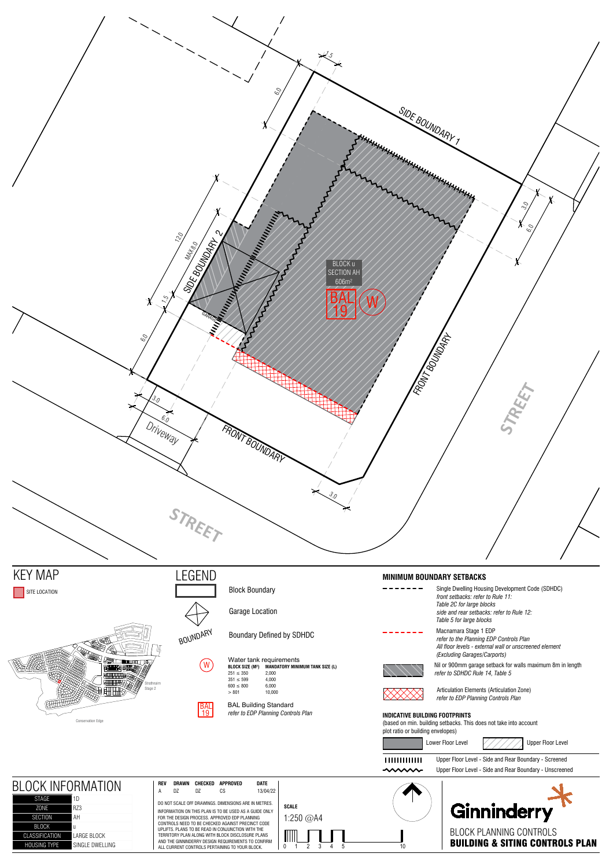

SINGLE DWELLING

| <b>DEUUN LABRITUU GUBLIIULU</b>            |  |
|--------------------------------------------|--|
| <b>BUILDING &amp; SITING CONTROLS PLAN</b> |  |
|                                            |  |